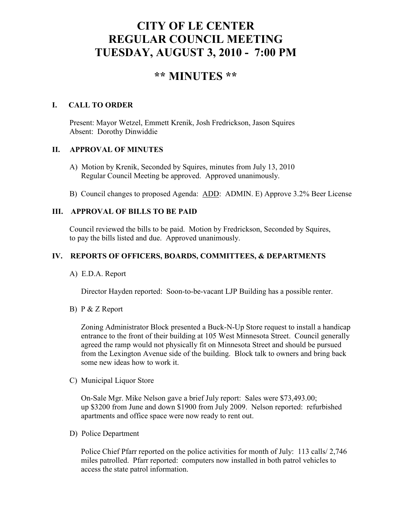# **CITY OF LE CENTER REGULAR COUNCIL MEETING TUESDAY, AUGUST 3, 2010 - 7:00 PM**

## **\*\* MINUTES \*\***

## **I. CALL TO ORDER**

Present: Mayor Wetzel, Emmett Krenik, Josh Fredrickson, Jason Squires Absent: Dorothy Dinwiddie

## **II. APPROVAL OF MINUTES**

- A) Motion by Krenik, Seconded by Squires, minutes from July 13, 2010 Regular Council Meeting be approved. Approved unanimously.
- B) Council changes to proposed Agenda: ADD: ADMIN. E) Approve 3.2% Beer License

## **III. APPROVAL OF BILLS TO BE PAID**

Council reviewed the bills to be paid. Motion by Fredrickson, Seconded by Squires, to pay the bills listed and due. Approved unanimously.

## **IV. REPORTS OF OFFICERS, BOARDS, COMMITTEES, & DEPARTMENTS**

A) E.D.A. Report

Director Hayden reported: Soon-to-be-vacant LJP Building has a possible renter.

B) P & Z Report

 Zoning Administrator Block presented a Buck-N-Up Store request to install a handicap entrance to the front of their building at 105 West Minnesota Street. Council generally agreed the ramp would not physically fit on Minnesota Street and should be pursued from the Lexington Avenue side of the building. Block talk to owners and bring back some new ideas how to work it.

C) Municipal Liquor Store

On-Sale Mgr. Mike Nelson gave a brief July report: Sales were \$73,493.00; up \$3200 from June and down \$1900 from July 2009. Nelson reported: refurbished apartments and office space were now ready to rent out.

D) Police Department

Police Chief Pfarr reported on the police activities for month of July: 113 calls/ 2,746 miles patrolled. Pfarr reported: computers now installed in both patrol vehicles to access the state patrol information.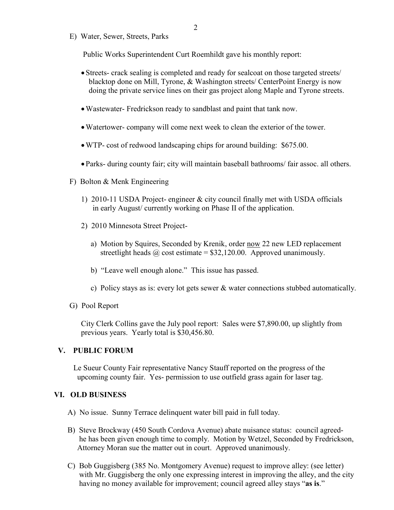E) Water, Sewer, Streets, Parks

Public Works Superintendent Curt Roemhildt gave his monthly report:

- Streets- crack sealing is completed and ready for sealcoat on those targeted streets/ blacktop done on Mill, Tyrone, & Washington streets/ CenterPoint Energy is now doing the private service lines on their gas project along Maple and Tyrone streets.
- •Wastewater- Fredrickson ready to sandblast and paint that tank now.
- •Watertower- company will come next week to clean the exterior of the tower.
- •WTP- cost of redwood landscaping chips for around building: \$675.00.
- Parks- during county fair; city will maintain baseball bathrooms/ fair assoc. all others.
- F) Bolton & Menk Engineering
	- 1) 2010-11 USDA Project- engineer & city council finally met with USDA officials in early August/ currently working on Phase II of the application.
	- 2) 2010 Minnesota Street Project
		- a) Motion by Squires, Seconded by Krenik, order now 22 new LED replacement streetlight heads  $\omega$  cost estimate = \$32,120.00. Approved unanimously.
		- b) "Leave well enough alone." This issue has passed.
		- c) Policy stays as is: every lot gets sewer & water connections stubbed automatically.
- G) Pool Report

 City Clerk Collins gave the July pool report: Sales were \$7,890.00, up slightly from previous years. Yearly total is \$30,456.80.

#### **V. PUBLIC FORUM**

 Le Sueur County Fair representative Nancy Stauff reported on the progress of the upcoming county fair. Yes- permission to use outfield grass again for laser tag.

#### **VI. OLD BUSINESS**

- A) No issue. Sunny Terrace delinquent water bill paid in full today.
- B) Steve Brockway (450 South Cordova Avenue) abate nuisance status: council agreed he has been given enough time to comply. Motion by Wetzel, Seconded by Fredrickson, Attorney Moran sue the matter out in court. Approved unanimously.
- C) Bob Guggisberg (385 No. Montgomery Avenue) request to improve alley: (see letter) with Mr. Guggisberg the only one expressing interest in improving the alley, and the city having no money available for improvement; council agreed alley stays "**as is**."